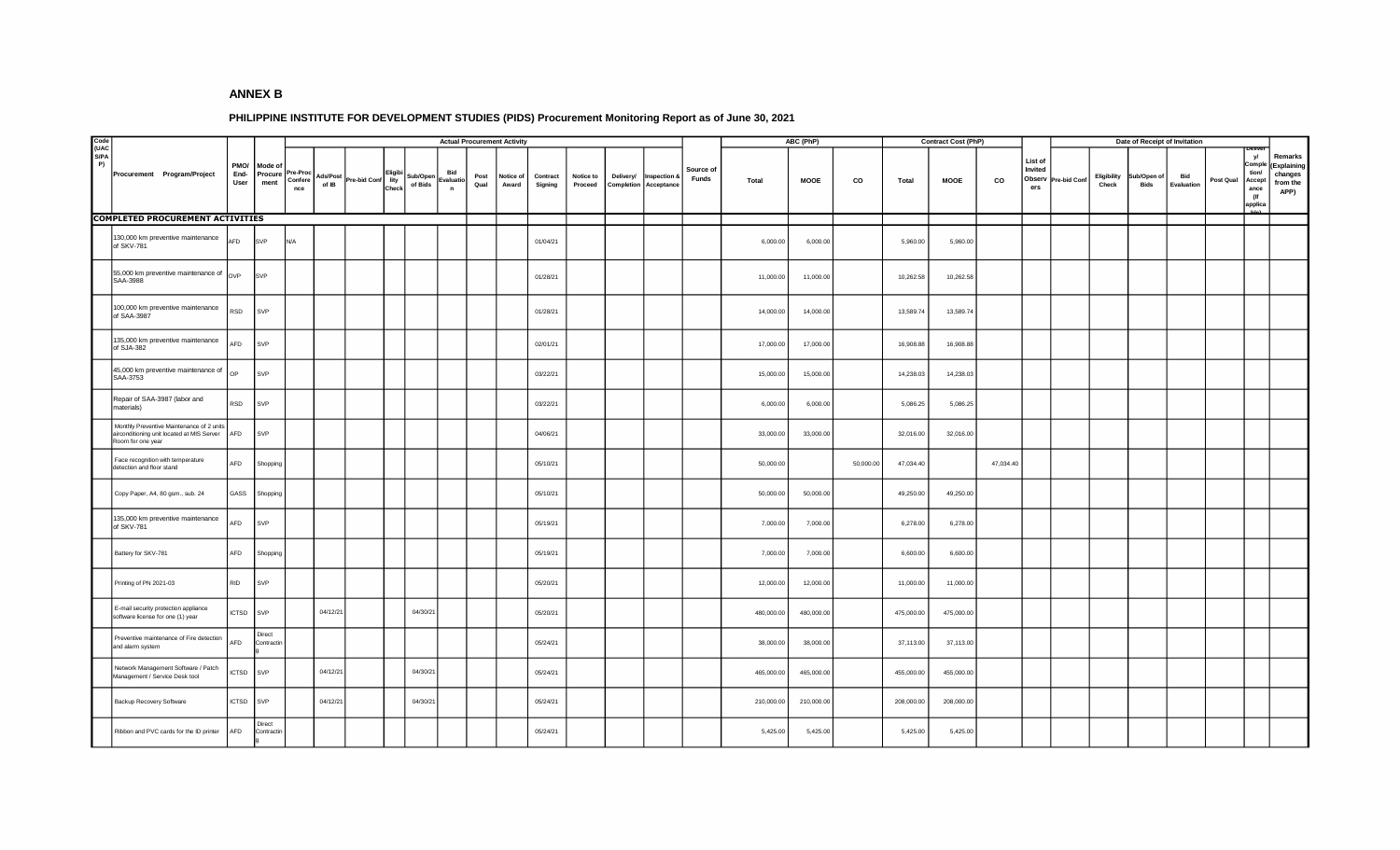## **ANNEX B**

## **PHILIPPINE INSTITUTE FOR DEVELOPMENT STUDIES (PIDS) Procurement Monitoring Report as of June 30, 2021**

|                            |                           |                                                                                         |                      |                            |                            |                   |              |                          |                     |                                  | <b>Actual Procurement Activity</b> |                    |                     |                      |           |                                              |                           | ABC (PhP)  |             |           | <b>Contract Cost (PhP)</b> |             |           |                                     | Date of Receipt of Invitation |                      |                     |                   |           |                                                         |                                                      |
|----------------------------|---------------------------|-----------------------------------------------------------------------------------------|----------------------|----------------------------|----------------------------|-------------------|--------------|--------------------------|---------------------|----------------------------------|------------------------------------|--------------------|---------------------|----------------------|-----------|----------------------------------------------|---------------------------|------------|-------------|-----------|----------------------------|-------------|-----------|-------------------------------------|-------------------------------|----------------------|---------------------|-------------------|-----------|---------------------------------------------------------|------------------------------------------------------|
| Code<br>(UAC<br>S/PA<br>P) |                           | Procurement Program/Project                                                             | PMO/<br>End-<br>User | Mode of<br>Procure<br>ment | Pre-Proc<br>Confere<br>nce | Ads/Post<br>of IB | Pre-bid Conf | Eligibi<br>lity<br>Check | Sub/Open<br>of Bids | Bid<br>Evaluatio<br>$\mathsf{n}$ | Post<br>Qual                       | Notice of<br>Award | Contract<br>Signing | Notice to<br>Proceed | Delivery/ | Inspection &<br><b>Completion</b> Acceptance | Source of<br><b>Funds</b> | Total      | <b>MOOE</b> | CO        | Total                      | <b>MOOE</b> | CO        | List of<br>Invited<br>Observ<br>ers | Pre-bid Conf                  | Eligibility<br>Check | Sub/Open of<br>Bids | Bid<br>Evaluation | Post Qual | yl<br>Compl<br>tion/<br>Accept<br>ance<br>(If<br>applic | Remarks<br>Explaining<br>changes<br>from the<br>APP) |
|                            |                           | <b>COMPLETED PROCUREMENT ACTIVITIES</b>                                                 |                      |                            |                            |                   |              |                          |                     |                                  |                                    |                    |                     |                      |           |                                              |                           |            |             |           |                            |             |           |                                     |                               |                      |                     |                   |           |                                                         |                                                      |
|                            | of SKV-781                | 130,000 km preventive maintenance                                                       | AFD                  | SVP                        | N/A                        |                   |              |                          |                     |                                  |                                    |                    | 01/04/21            |                      |           |                                              |                           | 6,000.00   | 6,000.00    |           | 5,960.00                   | 5,960.00    |           |                                     |                               |                      |                     |                   |           |                                                         |                                                      |
|                            | SAA-3988                  | 55,000 km preventive maintenance of                                                     | OVP                  | SVP                        |                            |                   |              |                          |                     |                                  |                                    |                    | 01/28/21            |                      |           |                                              |                           | 11,000.00  | 11,000.00   |           | 10,262.58                  | 10,262.58   |           |                                     |                               |                      |                     |                   |           |                                                         |                                                      |
|                            | of SAA-3987               | 100,000 km preventive maintenance                                                       | RSD                  | SVP                        |                            |                   |              |                          |                     |                                  |                                    |                    | 01/28/21            |                      |           |                                              |                           | 14,000.00  | 14,000.00   |           | 13,589.74                  | 13,589.74   |           |                                     |                               |                      |                     |                   |           |                                                         |                                                      |
|                            | of SJA-382                | 135,000 km preventive maintenance                                                       | AFD                  | SVP                        |                            |                   |              |                          |                     |                                  |                                    |                    | 02/01/21            |                      |           |                                              |                           | 17,000.00  | 17,000.00   |           | 16,908.88                  | 16,908.88   |           |                                     |                               |                      |                     |                   |           |                                                         |                                                      |
|                            | SAA-3753                  | 45,000 km preventive maintenance of                                                     | OP                   | SVP                        |                            |                   |              |                          |                     |                                  |                                    |                    | 03/22/21            |                      |           |                                              |                           | 15,000.00  | 15,000.00   |           | 14,238.03                  | 14,238.03   |           |                                     |                               |                      |                     |                   |           |                                                         |                                                      |
|                            | materials)                | Repair of SAA-3987 (labor and                                                           | <b>RSD</b>           | SVP                        |                            |                   |              |                          |                     |                                  |                                    |                    | 03/22/21            |                      |           |                                              |                           | 6,000.00   | 6,000.00    |           | 5,086.25                   | 5,086.25    |           |                                     |                               |                      |                     |                   |           |                                                         |                                                      |
|                            | Room for one year         | Monthly Preventive Maintenance of 2 units<br>airconditioning unit located at MIS Server | AFD                  | SVP                        |                            |                   |              |                          |                     |                                  |                                    |                    | 04/06/21            |                      |           |                                              |                           | 33,000.00  | 33,000.00   |           | 32,016.00                  | 32,016.00   |           |                                     |                               |                      |                     |                   |           |                                                         |                                                      |
|                            | detection and floor stand | Face recognition with temperature                                                       | AFD                  | Shopping                   |                            |                   |              |                          |                     |                                  |                                    |                    | 05/10/21            |                      |           |                                              |                           | 50,000.00  |             | 50,000.00 | 47,034.40                  |             | 47,034.40 |                                     |                               |                      |                     |                   |           |                                                         |                                                      |
|                            |                           | Copy Paper, A4, 80 gsm., sub. 24                                                        | GASS                 | Shopping                   |                            |                   |              |                          |                     |                                  |                                    |                    | 05/10/21            |                      |           |                                              |                           | 50,000.00  | 50,000.00   |           | 49,250.00                  | 49,250.00   |           |                                     |                               |                      |                     |                   |           |                                                         |                                                      |
|                            | of SKV-781                | 135,000 km preventive maintenance                                                       | AFD                  | SVP                        |                            |                   |              |                          |                     |                                  |                                    |                    | 05/19/21            |                      |           |                                              |                           | 7,000.00   | 7,000.00    |           | 6,278.00                   | 6,278.00    |           |                                     |                               |                      |                     |                   |           |                                                         |                                                      |
|                            | Battery for SKV-781       |                                                                                         | AFD                  | Shopping                   |                            |                   |              |                          |                     |                                  |                                    |                    | 05/19/21            |                      |           |                                              |                           | 7,000.00   | 7,000.00    |           | 6,600.00                   | 6,600.00    |           |                                     |                               |                      |                     |                   |           |                                                         |                                                      |
|                            | Printing of PN 2021-03    |                                                                                         | <b>RID</b>           | SVP                        |                            |                   |              |                          |                     |                                  |                                    |                    | 05/20/21            |                      |           |                                              |                           | 12,000.00  | 12,000.00   |           | 11,000.00                  | 11,000.00   |           |                                     |                               |                      |                     |                   |           |                                                         |                                                      |
|                            |                           | E-mail security protection appliance<br>software license for one (1) year               | <b>ICTSD</b>         | SVP                        |                            | 04/12/21          |              |                          | 04/30/21            |                                  |                                    |                    | 05/20/21            |                      |           |                                              |                           | 480,000.00 | 480,000.00  |           | 475,000.00                 | 475,000.00  |           |                                     |                               |                      |                     |                   |           |                                                         |                                                      |
|                            | and alarm system          | Preventive maintenance of Fire detection                                                | AFD                  | Direct<br>Contractin       |                            |                   |              |                          |                     |                                  |                                    |                    | 05/24/21            |                      |           |                                              |                           | 38,000.00  | 38,000.00   |           | 37,113.00                  | 37,113.00   |           |                                     |                               |                      |                     |                   |           |                                                         |                                                      |
|                            |                           | Network Management Software / Patch<br>Management / Service Desk tool                   | <b>ICTSD</b>         | SVP                        |                            | 04/12/21          |              |                          | 04/30/21            |                                  |                                    |                    | 05/24/21            |                      |           |                                              |                           | 465,000.00 | 465,000.00  |           | 455,000.00                 | 455,000.00  |           |                                     |                               |                      |                     |                   |           |                                                         |                                                      |
|                            |                           | Backup Recovery Software                                                                | <b>ICTSD</b>         | SVP                        |                            | 04/12/21          |              |                          | 04/30/21            |                                  |                                    |                    | 05/24/21            |                      |           |                                              |                           | 210,000.00 | 210,000.00  |           | 208,000.00                 | 208,000.00  |           |                                     |                               |                      |                     |                   |           |                                                         |                                                      |
|                            |                           | Ribbon and PVC cards for the ID printer                                                 | AFD                  | Direct<br>Contractin       |                            |                   |              |                          |                     |                                  |                                    |                    | 05/24/21            |                      |           |                                              |                           | 5,425.00   | 5,425.00    |           | 5,425.00                   | 5,425.00    |           |                                     |                               |                      |                     |                   |           |                                                         |                                                      |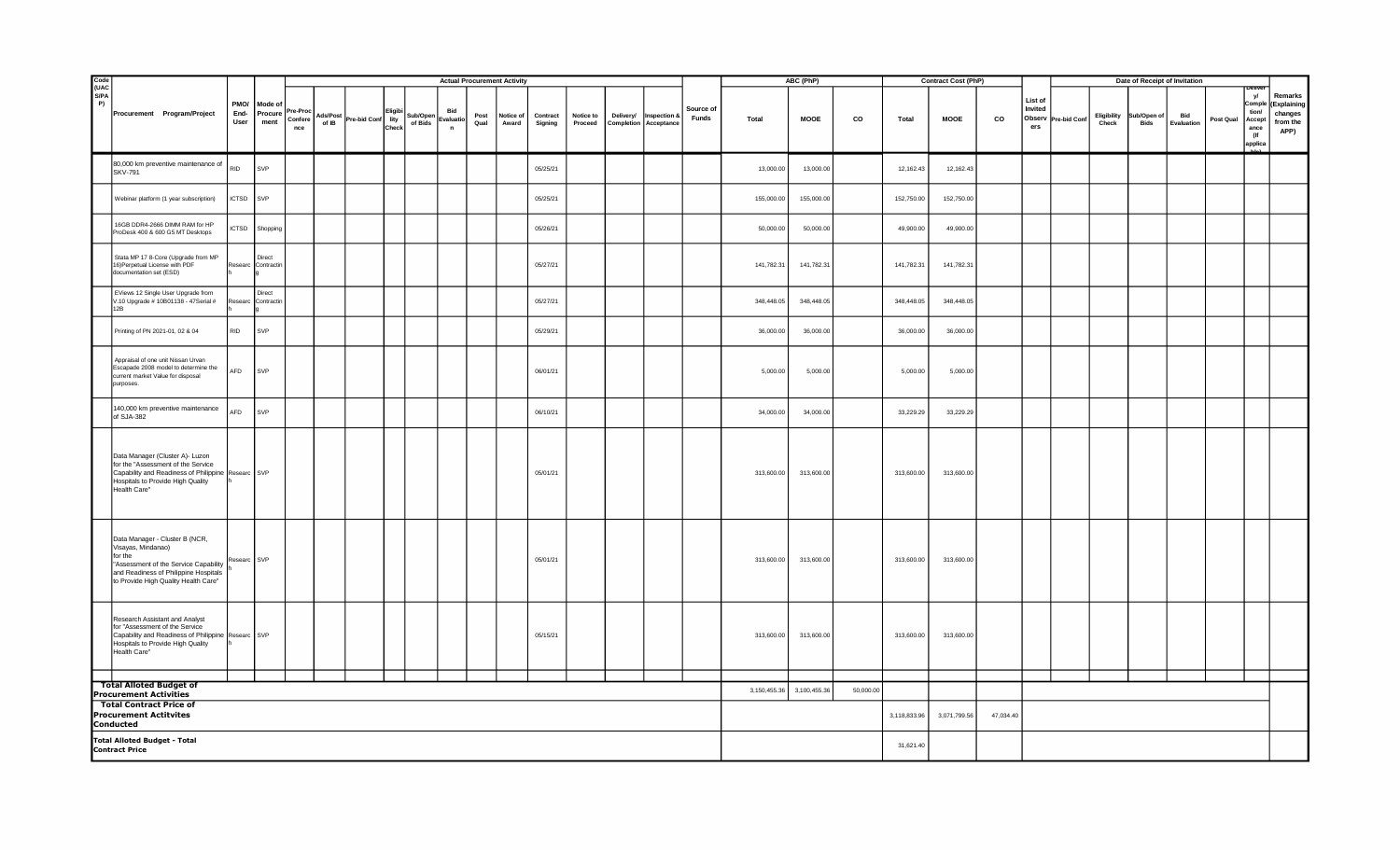|                                                                                                               |                                                                                                                                                                                           |              |                              |                                    | <b>Actual Procurement Activity</b> |                   |                 |                     |                                  |              |                    |                     |                      |                       |                        | ABC (PhP)          |              |             | <b>Contract Cost (PhP)</b> |            |             |    |                                     | Date of Receipt of Invitation |                      |                                   |                   |           |                                                         |                                                       |
|---------------------------------------------------------------------------------------------------------------|-------------------------------------------------------------------------------------------------------------------------------------------------------------------------------------------|--------------|------------------------------|------------------------------------|------------------------------------|-------------------|-----------------|---------------------|----------------------------------|--------------|--------------------|---------------------|----------------------|-----------------------|------------------------|--------------------|--------------|-------------|----------------------------|------------|-------------|----|-------------------------------------|-------------------------------|----------------------|-----------------------------------|-------------------|-----------|---------------------------------------------------------|-------------------------------------------------------|
| Code<br>(UAC<br>S/PA<br>P                                                                                     | Procurement Program/Project                                                                                                                                                               | End-<br>User | PMO/ Mode of<br>ment         | Procure Pre-Proc<br>Confere<br>nce | Ads/Post<br>of IB                  | Pre-bid Conf lity | Eligib<br>Check | Sub/Oper<br>of Bids | Bid<br>Evaluatio<br>$\mathsf{n}$ | Post<br>Qual | Notice of<br>Award | Contract<br>Signing | Notice to<br>Proceed | Completion Acceptance | Delivery/ Inspection & | Source of<br>Funds | Total        | <b>MOOE</b> | CO                         | Total      | <b>MOOE</b> | co | List of<br>Invited<br>Observ<br>ers | Pre-bid Conf                  | Eligibility<br>Check | <b>Sub/Open of</b><br><b>Bids</b> | Bid<br>Evaluation | Post Qual | y/<br>Compl<br>tion/<br>Accept<br>ance<br>(If<br>applic | Remarks<br>(Explaining<br>changes<br>from the<br>APP) |
|                                                                                                               | 80,000 km preventive maintenance of<br><b>SKV-791</b>                                                                                                                                     | RID          | SVP                          |                                    |                                    |                   |                 |                     |                                  |              |                    | 05/25/21            |                      |                       |                        |                    | 13,000.00    | 13,000.00   |                            | 12,162.43  | 12,162.43   |    |                                     |                               |                      |                                   |                   |           |                                                         |                                                       |
|                                                                                                               | Webinar platform (1 year subscription)                                                                                                                                                    | <b>ICTSD</b> | SVP                          |                                    |                                    |                   |                 |                     |                                  |              |                    | 05/25/21            |                      |                       |                        |                    | 155,000.00   | 155,000.00  |                            | 152,750.00 | 152,750.00  |    |                                     |                               |                      |                                   |                   |           |                                                         |                                                       |
|                                                                                                               | 16GB DDR4-2666 DIMM RAM for HP<br>ProDesk 400 & 600 G5 MT Desktops                                                                                                                        | <b>ICTSD</b> | Shopping                     |                                    |                                    |                   |                 |                     |                                  |              |                    | 05/26/21            |                      |                       |                        |                    | 50,000.00    | 50,000.00   |                            | 49,900.00  | 49,900.00   |    |                                     |                               |                      |                                   |                   |           |                                                         |                                                       |
|                                                                                                               | Stata MP 17 8-Core (Upgrade from MP<br>16) Perpetual License with PDF<br>documentation set (ESD)                                                                                          |              | Direct<br>Researc Contractin |                                    |                                    |                   |                 |                     |                                  |              |                    | 05/27/21            |                      |                       |                        |                    | 141,782.31   | 141,782.31  |                            | 141,782.31 | 141,782.31  |    |                                     |                               |                      |                                   |                   |           |                                                         |                                                       |
|                                                                                                               | EViews 12 Single User Upgrade from<br>V.10 Upgrade # 10B01138 - 47Serial #<br>12B                                                                                                         | tesearc      | Direct<br>Contracti          |                                    |                                    |                   |                 |                     |                                  |              |                    | 05/27/21            |                      |                       |                        |                    | 348,448.05   | 348,448.05  |                            | 348,448.05 | 348,448.05  |    |                                     |                               |                      |                                   |                   |           |                                                         |                                                       |
|                                                                                                               | Printing of PN 2021-01, 02 & 04                                                                                                                                                           | <b>RID</b>   | SVP                          |                                    |                                    |                   |                 |                     |                                  |              |                    | 05/29/21            |                      |                       |                        |                    | 36,000.00    | 36,000.00   |                            | 36,000.00  | 36,000.00   |    |                                     |                               |                      |                                   |                   |           |                                                         |                                                       |
|                                                                                                               | Appraisal of one unit Nissan Urvan<br>Escapade 2008 model to determine the<br>current market Value for disposal<br>purposes.                                                              | AFD          | SVP                          |                                    |                                    |                   |                 |                     |                                  |              |                    | 06/01/21            |                      |                       |                        |                    | 5,000.00     | 5,000.00    |                            | 5,000.00   | 5,000.00    |    |                                     |                               |                      |                                   |                   |           |                                                         |                                                       |
|                                                                                                               | 140,000 km preventive maintenance<br>of SJA-382                                                                                                                                           | AFD          | SVP                          |                                    |                                    |                   |                 |                     |                                  |              |                    | 06/10/21            |                      |                       |                        |                    | 34,000.00    | 34,000.00   |                            | 33,229.29  | 33,229.29   |    |                                     |                               |                      |                                   |                   |           |                                                         |                                                       |
|                                                                                                               | Data Manager (Cluster A)- Luzon<br>for the "Assessment of the Service<br>Capability and Readiness of Philippine Researc SVP<br>Hospitals to Provide High Quality<br>Health Care"          |              |                              |                                    |                                    |                   |                 |                     |                                  |              |                    | 05/01/21            |                      |                       |                        |                    | 313,600.00   | 313,600.00  |                            | 313,600.00 | 313,600.00  |    |                                     |                               |                      |                                   |                   |           |                                                         |                                                       |
|                                                                                                               | Data Manager - Cluster B (NCR,<br>Visayas, Mindanao)<br>for the<br>"Assessment of the Service Capability<br>and Readiness of Philippine Hospitals<br>to Provide High Quality Health Care" | Researc SVP  |                              |                                    |                                    |                   |                 |                     |                                  |              |                    | 05/01/21            |                      |                       |                        |                    | 313,600.00   | 313,600.00  |                            | 313,600.00 | 313,600.00  |    |                                     |                               |                      |                                   |                   |           |                                                         |                                                       |
|                                                                                                               | Research Assistant and Analyst<br>for "Assessment of the Service<br>Capability and Readiness of Philippine Researc SVP<br>Hospitals to Provide High Quality<br>Health Care"               |              |                              |                                    |                                    |                   |                 |                     |                                  |              |                    | 05/15/21            |                      |                       |                        |                    | 313,600.00   | 313,600.00  |                            | 313,600.00 | 313,600.00  |    |                                     |                               |                      |                                   |                   |           |                                                         |                                                       |
|                                                                                                               | <b>Total Alloted Budget of</b>                                                                                                                                                            |              |                              |                                    |                                    |                   |                 |                     |                                  |              |                    |                     |                      |                       |                        |                    |              |             |                            |            |             |    |                                     |                               |                      |                                   |                   |           |                                                         |                                                       |
| <b>Procurement Activities</b><br><b>Total Contract Price of</b><br><b>Procurement Actitvites</b><br>Conducted |                                                                                                                                                                                           |              |                              |                                    |                                    |                   |                 |                     |                                  |              |                    |                     | 3,150,455.36         | 3,100,455.36          | 50,000.00              | 3,118,833.96       | 3,071,799.56 | 47,034.40   |                            |            |             |    |                                     |                               |                      |                                   |                   |           |                                                         |                                                       |
|                                                                                                               | <b>Total Alloted Budget - Total</b><br><b>Contract Price</b>                                                                                                                              |              |                              |                                    |                                    |                   |                 |                     |                                  |              |                    |                     |                      |                       |                        | 31,621.40          |              |             |                            |            |             |    |                                     |                               |                      |                                   |                   |           |                                                         |                                                       |